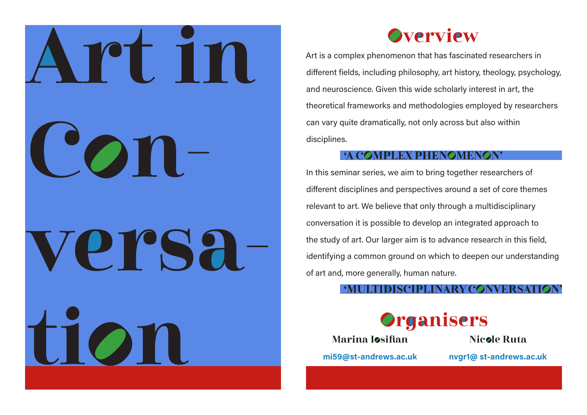



Art is a complex phenomenon that has fascinated researchers in different fields, including philosophy, art history, theology, psychology, and neuroscience. Given this wide scholarly interest in art, the theoretical frameworks and methodologies employed by researchers can vary quite dramatically, not only across but also within disciplines.

# **COMPLEX PHENOMEN**

In this seminar series, we aim to bring together researchers of different disciplines and perspectives around a set of core themes relevant to art. We believe that only through a multidisciplinary conversation it is possible to develop an integrated approach to the study of art. Our larger aim is to advance research in this field, identifying a common ground on which to deepen our understanding of art and, more generally, human nature.



Marina Iosifian

Nicole Ruta

**mi59@st-andrews.ac.uk** 

**nvgr1@ st-andrews.ac.uk**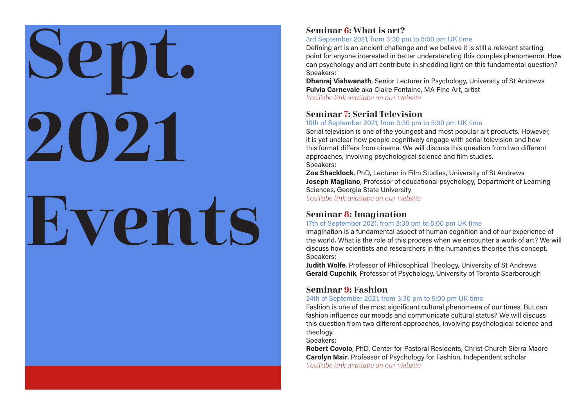# Sept. 2021 Events

# Seminar 6: What is art?

#### 3rd September 2021, from 3:30 pm to 5:00 pm UK time

Defining art is an ancient challenge and we believe it is still a relevant starting point for anyone interested in better understanding this complex phenomenon. How can psychology and art contribute in shedding light on this fundamental question? Speakers:

**Dhanraj Vishwanath**, Senior Lecturer in Psychology, University of St Andrews **Fulvia Carnevale** aka Claire Fontaine, MA Fine Art, artist YouTube link availabe on our [website](https://artinconversation.wp.st-andrews.ac.uk/upcoming-events/)

### Seminar 7: Serial Television

#### 10th of September 2021, from 3:30 pm to 5:00 pm UK time

Serial television is one of the youngest and most popular art products. However, it is yet unclear how people cognitively engage with serial television and how this format differs from cinema. We will discuss this question from two different approaches, involving psychological science and film studies. Speakers:

**Zoe Shacklock**, PhD, Lecturer in Film Studies, University of St Andrews **Joseph Magliano**, Professor of educational psychology, Department of Learning Sciences, Georgia State University YouTube link availabe on our [website](https://artinconversation.wp.st-andrews.ac.uk/upcoming-events/)

# Seminar 8: Imagination

#### 17th of September 2021, from 3:30 pm to 5:00 pm UK time

Imagination is a fundamental aspect of human cognition and of our experience of the world. What is the role of this process when we encounter a work of art? We will discuss how scientists and researchers in the humanities theorise this concept. Speakers:

**Judith Wolfe**, Professor of Philosophical Theology, University of St Andrews **Gerald Cupchik**, Professor of Psychology, University of Toronto Scarborough

# Seminar 9: Fashion

#### 24th of September 2021, from 3:30 pm to 5:00 pm UK time

Fashion is one of the most significant cultural phenomena of our times. But can fashion influence our moods and communicate cultural status? We will discuss this question from two different approaches, involving psychological science and theology.

Speakers:

**Robert Covolo**, PhD, Center for Pastoral Residents, Christ Church Sierra Madre **Carolyn Mair**, Professor of Psychology for Fashion, Independent scholar YouTube link availabe on our [website](https://artinconversation.wp.st-andrews.ac.uk/upcoming-events/)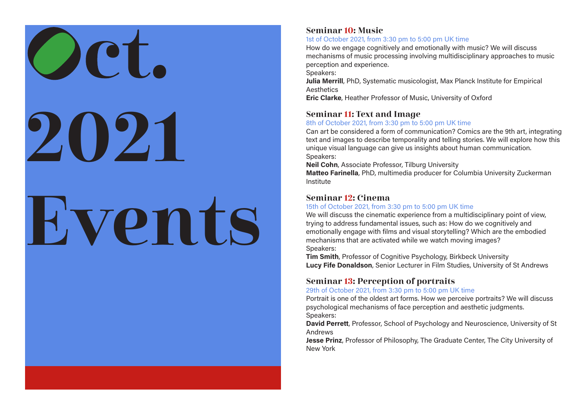# OCT. 2021 Events

### Seminar 10: Music

#### 1st of October 2021, from 3:30 pm to 5:00 pm UK time

How do we engage cognitively and emotionally with music? We will discuss mechanisms of music processing involving multidisciplinary approaches to music perception and experience.

Speakers:

**Julia Merrill**, PhD, Systematic musicologist, Max Planck Institute for Empirical **Aesthetics** 

**Eric Clarke**, Heather Professor of Music, University of Oxford

# Seminar 11: Text and Image

#### 8th of October 2021, from 3:30 pm to 5:00 pm UK time

Can art be considered a form of communication? Comics are the 9th art, integrating text and images to describe temporality and telling stories. We will explore how this unique visual language can give us insights about human communication. Speakers:

**Neil Cohn**, Associate Professor, Tilburg University

**Matteo Farinella**, PhD, multimedia producer for Columbia University Zuckerman Institute

# Seminar 12: Cinema

#### 15th of October 2021, from 3:30 pm to 5:00 pm UK time

We will discuss the cinematic experience from a multidisciplinary point of view, trying to address fundamental issues, such as: How do we cognitively and emotionally engage with films and visual storytelling? Which are the embodied mechanisms that are activated while we watch moving images? Speakers:

**Tim Smith**, Professor of Cognitive Psychology, Birkbeck University **Lucy Fife Donaldson**, Senior Lecturer in Film Studies, University of St Andrews

# Seminar 13: Perception of portraits

#### 29th of October 2021, from 3:30 pm to 5:00 pm UK time

Portrait is one of the oldest art forms. How we perceive portraits? We will discuss psychological mechanisms of face perception and aesthetic judgments. Speakers:

**David Perrett**, Professor, School of Psychology and Neuroscience, University of St Andrews

**Jesse Prinz**, Professor of Philosophy, The Graduate Center, The City University of New York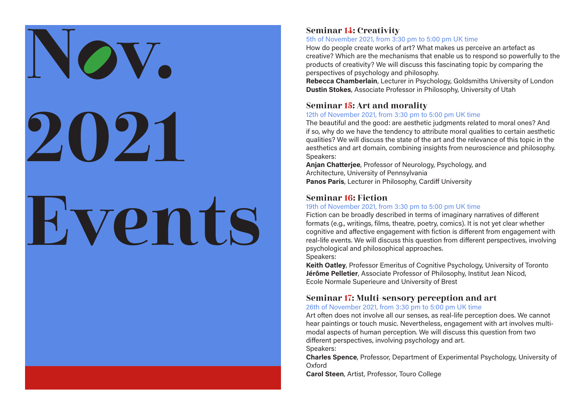# **OV.** 2021 Events

### Seminar 14: Creativity

#### 5th of November 2021, from 3:30 pm to 5:00 pm UK time

How do people create works of art? What makes us perceive an artefact as creative? Which are the mechanisms that enable us to respond so powerfully to the products of creativity? We will discuss this fascinating topic by comparing the perspectives of psychology and philosophy.

**Rebecca Chamberlain**, Lecturer in Psychology, Goldsmiths University of London **Dustin Stokes**, Associate Professor in Philosophy, University of Utah

#### Seminar 15: Art and morality

#### 12th of November 2021, from 3:30 pm to 5:00 pm UK time

The beautiful and the good: are aesthetic judgments related to moral ones? And if so, why do we have the tendency to attribute moral qualities to certain aesthetic qualities? We will discuss the state of the art and the relevance of this topic in the aesthetics and art domain, combining insights from neuroscience and philosophy. Speakers:

**Anjan Chatterjee**, Professor of Neurology, Psychology, and Architecture, University of Pennsylvania **Panos Paris**, Lecturer in Philosophy, Cardiff University

# Seminar 16: Fiction

#### 19th of November 2021, from 3:30 pm to 5:00 pm UK time

Fiction can be broadly described in terms of imaginary narratives of different formats (e.g., writings, films, theatre, poetry, comics). It is not yet clear whether cognitive and affective engagement with fiction is different from engagement with real-life events. We will discuss this question from different perspectives, involving psychological and philosophical approaches. Speakers:

**Keith Oatley**, Professor Emeritus of Cognitive Psychology, University of Toronto **Jérôme Pelletier**, Associate Professor of Philosophy, Institut Jean Nicod, Ecole Normale Superieure and University of Brest

# Seminar 17: Multi-sensory perception and art

#### 26th of November 2021, from 3:30 pm to 5:00 pm UK time

Art often does not involve all our senses, as real-life perception does. We cannot hear paintings or touch music. Nevertheless, engagement with art involves multimodal aspects of human perception. We will discuss this question from two different perspectives, involving psychology and art.

Speakers:

**Charles Spence**, Professor, Department of Experimental Psychology, University of Oxford

**Carol Steen**, Artist, Professor, Touro College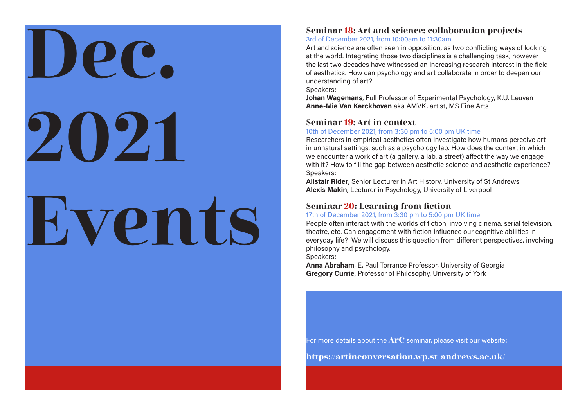# Dec. 2021 Events

### Seminar 18: Art and science: collaboration projects

#### 3rd of December 2021, from 10:00am to 11:30am

Art and science are often seen in opposition, as two conflicting ways of looking at the world. Integrating those two disciplines is a challenging task, however the last two decades have witnessed an increasing research interest in the field of aesthetics. How can psychology and art collaborate in order to deepen our understanding of art?

Speakers:

**Johan Wagemans**, Full Professor of Experimental Psychology, K.U. Leuven **Anne-Mie Van Kerckhoven** aka AMVK, artist, MS Fine Arts

### Seminar 19: Art in context

#### 10th of December 2021, from 3:30 pm to 5:00 pm UK time

Researchers in empirical aesthetics often investigate how humans perceive art in unnatural settings, such as a psychology lab. How does the context in which we encounter a work of art (a gallery, a lab, a street) affect the way we engage with it? How to fill the gap between aesthetic science and aesthetic experience? Speakers:

**Alistair Rider**, Senior Lecturer in Art History, University of St Andrews **Alexis Makin**, Lecturer in Psychology, University of Liverpool

# Seminar 20: Learning from fiction

#### 17th of December 2021, from 3:30 pm to 5:00 pm UK time

People often interact with the worlds of fiction, involving cinema, serial television, theatre, etc. Can engagement with fiction influence our cognitive abilities in everyday life? We will discuss this question from different perspectives, involving philosophy and psychology.

Speakers:

**Anna Abraham**, E. Paul Torrance Professor, University of Georgia **Gregory Currie**, Professor of Philosophy, University of York

For more details about the  $ATC$  seminar, please visit our website:

<https://artinconversation.wp.st-andrews.ac.uk/>